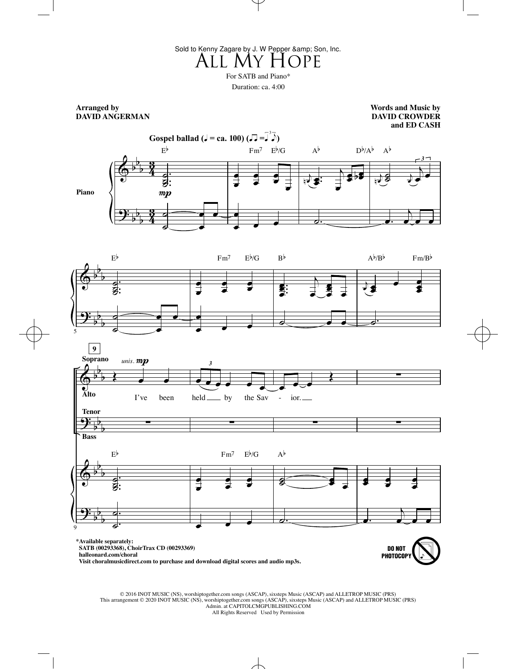All My Hope Sold to Kenny Zagare by J. W Pepper & amp; Son, Inc.

For SATB and Piano\*

Duration: ca. 4:00

**Arranged by DAVID ANGERMAN**

**Words and Music by DAVID CROWDER and ED CASH**

> **DO NOT** PHOTOCOPY







**\*Available separately: SATB (00293368), ChoirTrax CD (00293369) halleonard.com/choral**

 **Visit choralmusicdirect.com to purchase and download digital scores and audio mp3s.**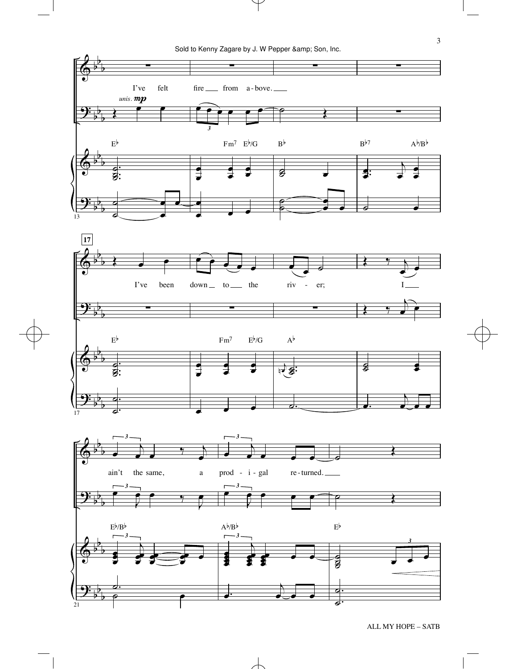Sold to Kenny Zagare by J. W Pepper & amp; Son, Inc.

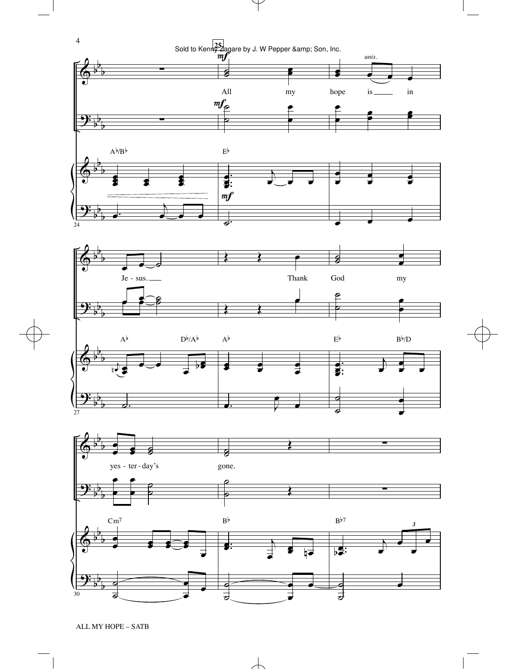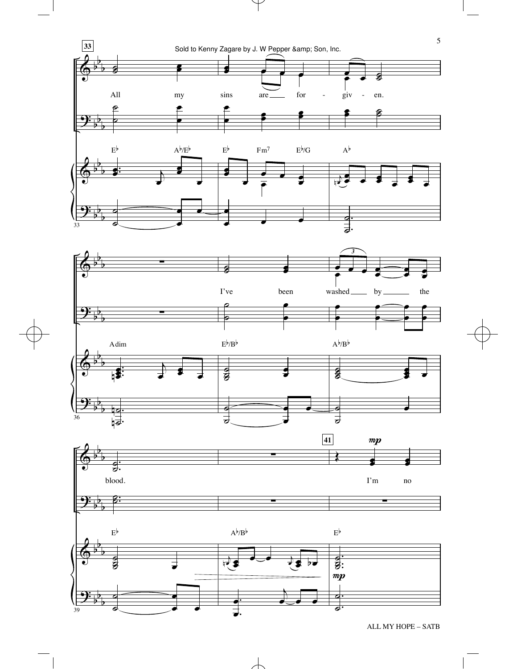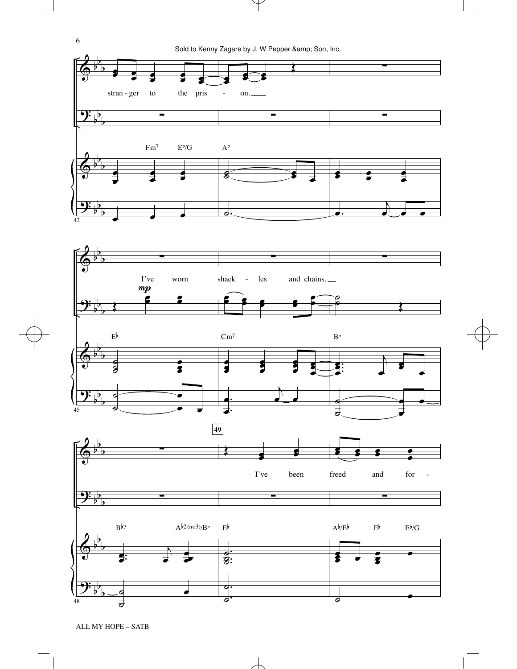







 $\overline{\mathcal{C}}$ 

. .  $\overline{\phantom{a}}$ ˙

ALL MY HOPE – SATB

。<br>。 **。** 

˙

b b b

48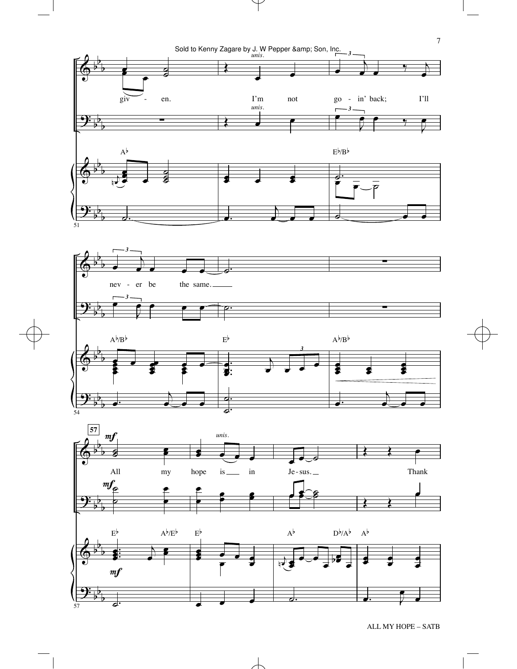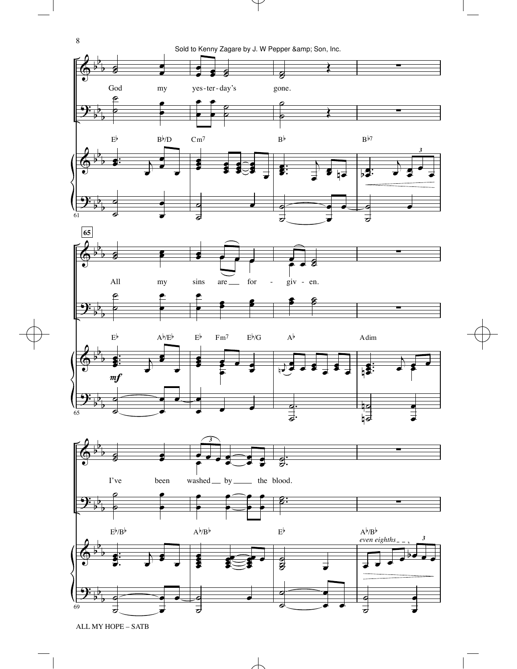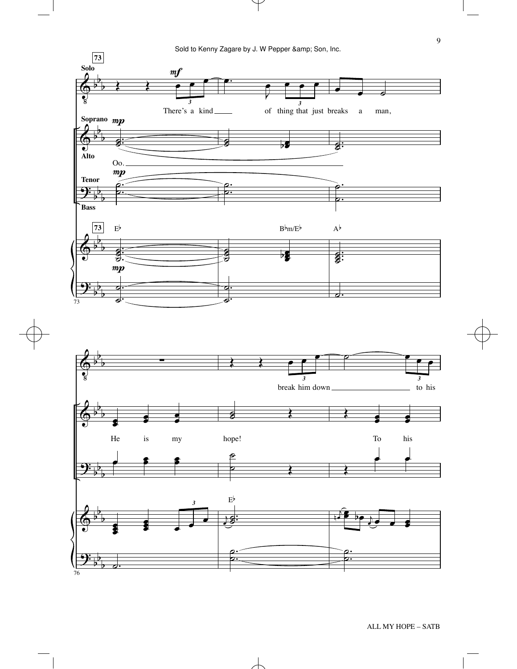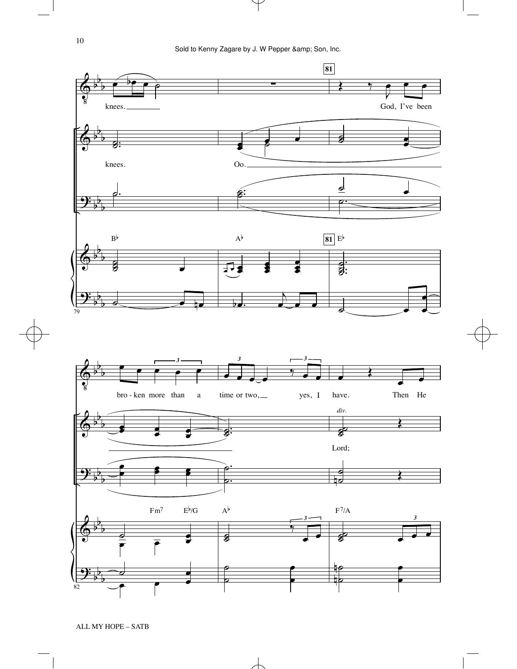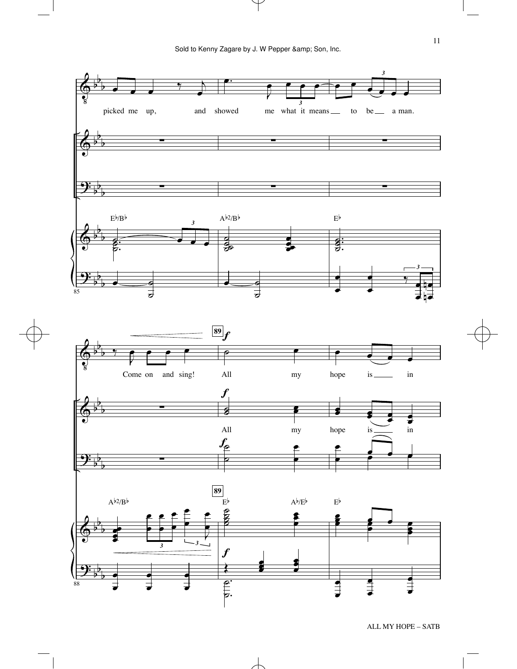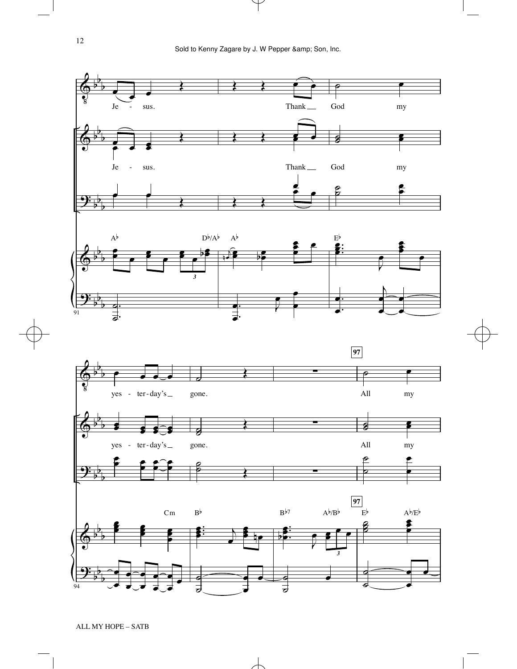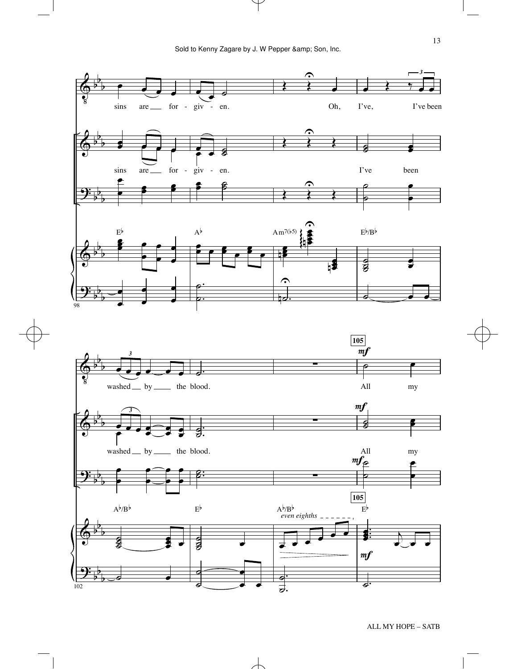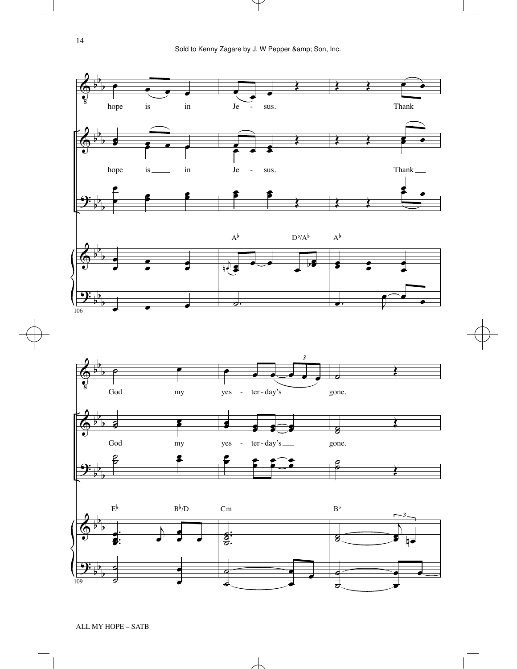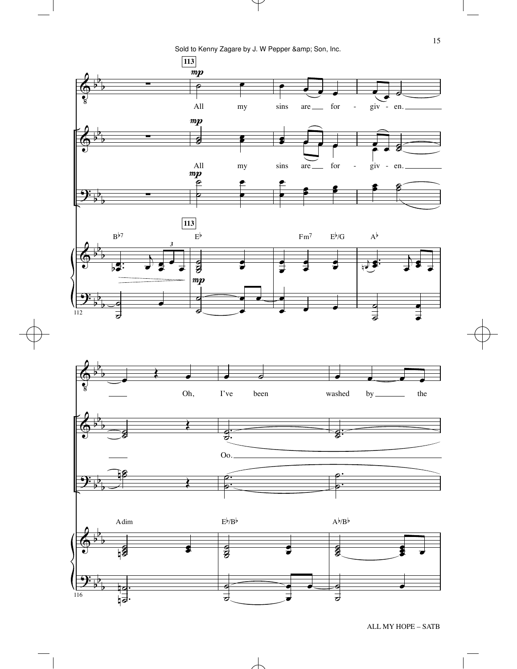Sold to Kenny Zagare by J. W Pepper & amp; Son, Inc.